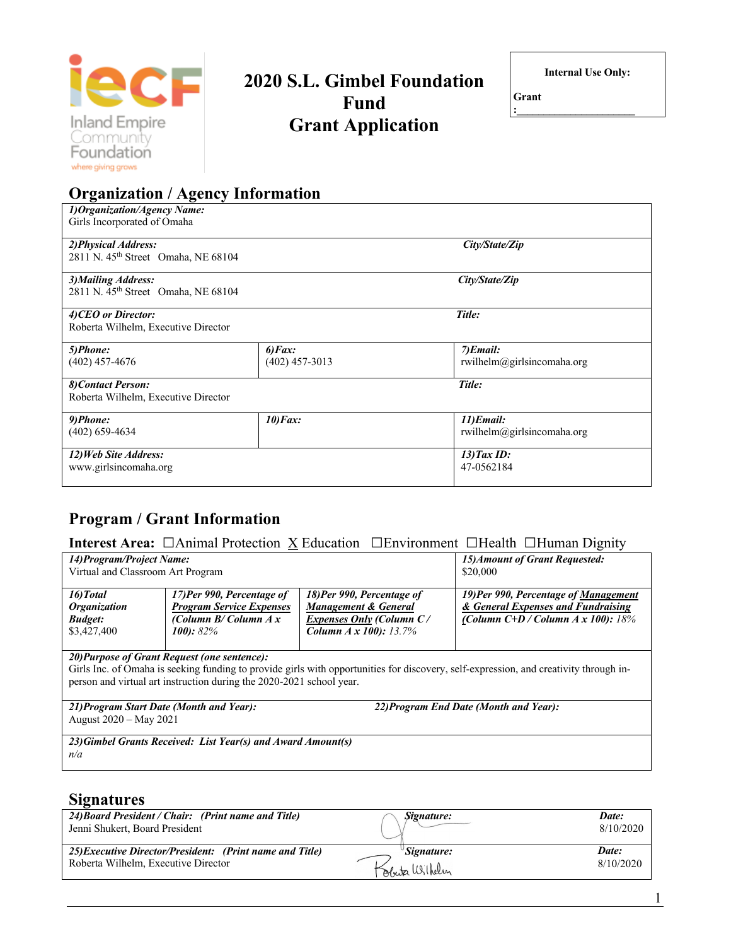

# **2020 S.L. Gimbel Foundation Fund Grant Application**

**Internal Use Only:**

**Grant :\_\_\_\_\_\_\_\_\_\_\_\_\_\_\_\_\_\_\_\_\_\_**

| <b>Organization / Agency Information</b>                                |                                       |                                         |  |  |  |
|-------------------------------------------------------------------------|---------------------------------------|-----------------------------------------|--|--|--|
| 1) Organization/Agency Name:<br>Girls Incorporated of Omaha             |                                       |                                         |  |  |  |
| 2) Physical Address:<br>2811 N. 45 <sup>th</sup> Street Omaha, NE 68104 |                                       | City/State/Zip                          |  |  |  |
| 3) Mailing Address:<br>2811 N. 45 <sup>th</sup> Street Omaha, NE 68104  |                                       | City/State/Zip                          |  |  |  |
| 4) CEO or Director:<br>Roberta Wilhelm, Executive Director              |                                       | Title:                                  |  |  |  |
| 5)Phone:<br>$(402)$ 457-4676                                            | $6)$ <i>Fax</i> :<br>$(402)$ 457-3013 | 7)Email:<br>rwilhelm@girlsincomaha.org  |  |  |  |
| 8) Contact Person:<br>Roberta Wilhelm, Executive Director               |                                       | Title:                                  |  |  |  |
| 9)Phone:<br>$(402)$ 659-4634                                            | 10) Fax:                              | 11)Email:<br>rwilhelm@girlsincomaha.org |  |  |  |
| 12) Web Site Address:<br>www.girlsincomaha.org                          |                                       | $13)$ Tax ID:<br>47-0562184             |  |  |  |

# **Program / Grant Information**

| <b>Interest Area:</b> $\Box$ Animal Protection $\underline{X}$ Education $\Box$ Environment $\Box$ Health $\Box$ Human Dignity |  |  |  |  |  |  |
|--------------------------------------------------------------------------------------------------------------------------------|--|--|--|--|--|--|
|--------------------------------------------------------------------------------------------------------------------------------|--|--|--|--|--|--|

| 14) Program/Project Name:                                                                                                                                                                                                                                     |                                                                                                         |                                                                                                                            | 15) Amount of Grant Requested:                                                                                      |  |  |  |
|---------------------------------------------------------------------------------------------------------------------------------------------------------------------------------------------------------------------------------------------------------------|---------------------------------------------------------------------------------------------------------|----------------------------------------------------------------------------------------------------------------------------|---------------------------------------------------------------------------------------------------------------------|--|--|--|
| Virtual and Classroom Art Program                                                                                                                                                                                                                             |                                                                                                         |                                                                                                                            | \$20,000                                                                                                            |  |  |  |
| 16) Total<br><i><b>Organization</b></i><br><b>Budget:</b><br>\$3,427,400                                                                                                                                                                                      | 17)Per 990, Percentage of<br><b>Program Service Expenses</b><br>(Column $B/C$ olumn $A x$<br>$100:82\%$ | 18) Per 990, Percentage of<br><b>Management &amp; General</b><br>Expenses Only (Column C/<br><b>Column A x 100):</b> 13.7% | 19) Per 990, Percentage of Management<br>& General Expenses and Fundraising<br>(Column $C+D$ / Column A x 100): 18% |  |  |  |
|                                                                                                                                                                                                                                                               |                                                                                                         |                                                                                                                            |                                                                                                                     |  |  |  |
| 20) Purpose of Grant Request (one sentence):<br>Girls Inc. of Omaha is seeking funding to provide girls with opportunities for discovery, self-expression, and creativity through in-<br>person and virtual art instruction during the 2020-2021 school year. |                                                                                                         |                                                                                                                            |                                                                                                                     |  |  |  |
| 22) Program End Date (Month and Year):<br>21) Program Start Date (Month and Year):<br>August 2020 – May 2021                                                                                                                                                  |                                                                                                         |                                                                                                                            |                                                                                                                     |  |  |  |
|                                                                                                                                                                                                                                                               | 23) Cimbal Crants Deceived: List Vegr(s) and Award Amount(s)                                            |                                                                                                                            |                                                                                                                     |  |  |  |

*23)Gimbel Grants Received: List Year(s) and Award Amount(s) n/a*

# **Signatures**

| 24) Board President / Chair: (Print name and Title)<br>Jenni Shukert, Board President | Signature:     | Date:<br>8/10/2020 |
|---------------------------------------------------------------------------------------|----------------|--------------------|
| 25) Executive Director/President: (Print name and Title)                              | 'Signature:    | Date:              |
| Roberta Wilhelm, Executive Director                                                   | Kobuta Wilhelm | 8/10/2020          |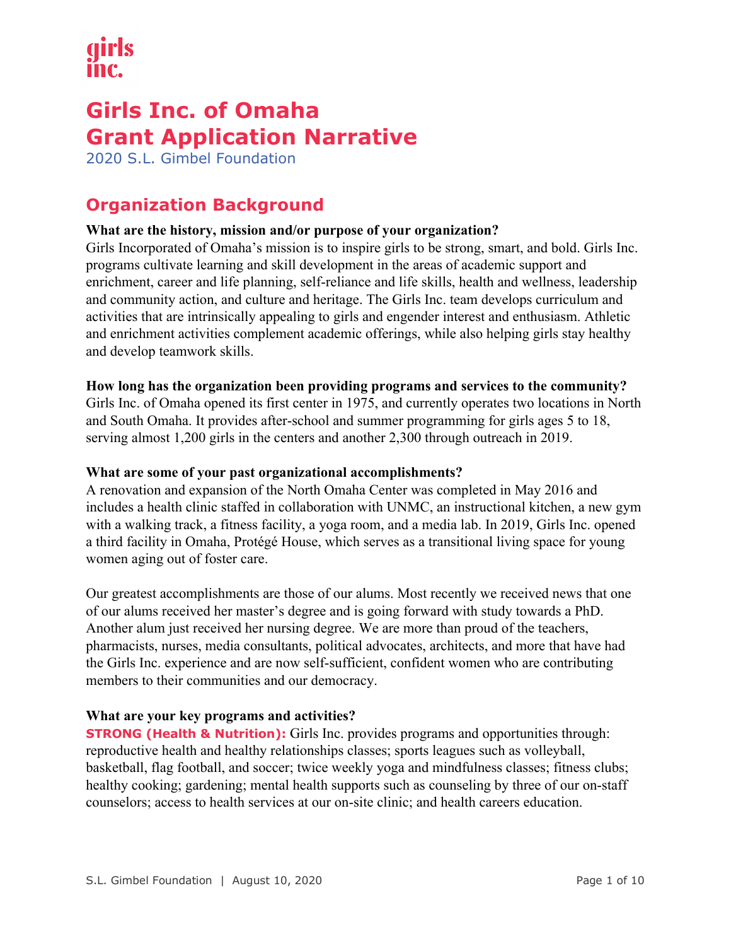# **Girls Inc. of Omaha Grant Application Narrative**

2020 S.L. Gimbel Foundation

# **Organization Background**

# **What are the history, mission and/or purpose of your organization?**

Girls Incorporated of Omaha's mission is to inspire girls to be strong, smart, and bold. Girls Inc. programs cultivate learning and skill development in the areas of academic support and enrichment, career and life planning, self-reliance and life skills, health and wellness, leadership and community action, and culture and heritage. The Girls Inc. team develops curriculum and activities that are intrinsically appealing to girls and engender interest and enthusiasm. Athletic and enrichment activities complement academic offerings, while also helping girls stay healthy and develop teamwork skills.

# **How long has the organization been providing programs and services to the community?**

Girls Inc. of Omaha opened its first center in 1975, and currently operates two locations in North and South Omaha. It provides after-school and summer programming for girls ages 5 to 18, serving almost 1,200 girls in the centers and another 2,300 through outreach in 2019.

#### **What are some of your past organizational accomplishments?**

A renovation and expansion of the North Omaha Center was completed in May 2016 and includes a health clinic staffed in collaboration with UNMC, an instructional kitchen, a new gym with a walking track, a fitness facility, a yoga room, and a media lab. In 2019, Girls Inc. opened a third facility in Omaha, Protégé House, which serves as a transitional living space for young women aging out of foster care.

Our greatest accomplishments are those of our alums. Most recently we received news that one of our alums received her master's degree and is going forward with study towards a PhD. Another alum just received her nursing degree. We are more than proud of the teachers, pharmacists, nurses, media consultants, political advocates, architects, and more that have had the Girls Inc. experience and are now self-sufficient, confident women who are contributing members to their communities and our democracy.

# **What are your key programs and activities?**

**STRONG (Health & Nutrition):** Girls Inc. provides programs and opportunities through: reproductive health and healthy relationships classes; sports leagues such as volleyball, basketball, flag football, and soccer; twice weekly yoga and mindfulness classes; fitness clubs; healthy cooking; gardening; mental health supports such as counseling by three of our on-staff counselors; access to health services at our on-site clinic; and health careers education.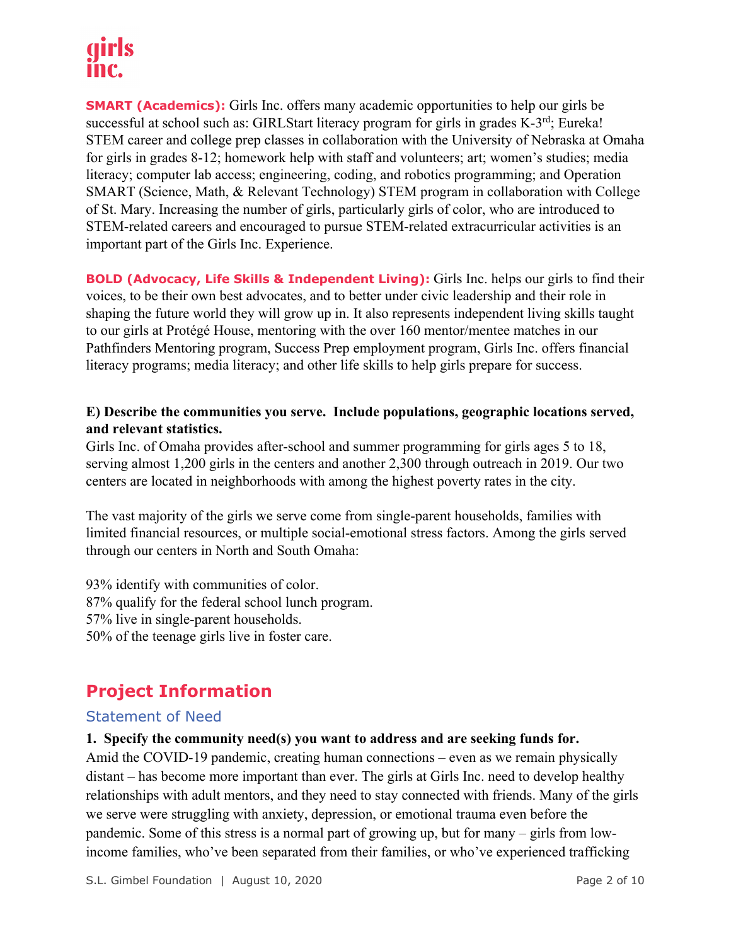# IIITC.

**SMART (Academics):** Girls Inc. offers many academic opportunities to help our girls be successful at school such as: GIRLStart literacy program for girls in grades K-3<sup>rd</sup>; Eureka! STEM career and college prep classes in collaboration with the University of Nebraska at Omaha for girls in grades 8-12; homework help with staff and volunteers; art; women's studies; media literacy; computer lab access; engineering, coding, and robotics programming; and Operation SMART (Science, Math, & Relevant Technology) STEM program in collaboration with College of St. Mary. Increasing the number of girls, particularly girls of color, who are introduced to STEM-related careers and encouraged to pursue STEM-related extracurricular activities is an important part of the Girls Inc. Experience.

**BOLD (Advocacy, Life Skills & Independent Living):** Girls Inc. helps our girls to find their voices, to be their own best advocates, and to better under civic leadership and their role in shaping the future world they will grow up in. It also represents independent living skills taught to our girls at Protégé House, mentoring with the over 160 mentor/mentee matches in our Pathfinders Mentoring program, Success Prep employment program, Girls Inc. offers financial literacy programs; media literacy; and other life skills to help girls prepare for success.

# **E) Describe the communities you serve. Include populations, geographic locations served, and relevant statistics.**

Girls Inc. of Omaha provides after-school and summer programming for girls ages 5 to 18, serving almost 1,200 girls in the centers and another 2,300 through outreach in 2019. Our two centers are located in neighborhoods with among the highest poverty rates in the city.

The vast majority of the girls we serve come from single-parent households, families with limited financial resources, or multiple social-emotional stress factors. Among the girls served through our centers in North and South Omaha:

93% identify with communities of color. 87% qualify for the federal school lunch program. 57% live in single-parent households. 50% of the teenage girls live in foster care.

# **Project Information**

# Statement of Need

**1. Specify the community need(s) you want to address and are seeking funds for.** 

Amid the COVID-19 pandemic, creating human connections – even as we remain physically distant – has become more important than ever. The girls at Girls Inc. need to develop healthy relationships with adult mentors, and they need to stay connected with friends. Many of the girls we serve were struggling with anxiety, depression, or emotional trauma even before the pandemic. Some of this stress is a normal part of growing up, but for many – girls from lowincome families, who've been separated from their families, or who've experienced trafficking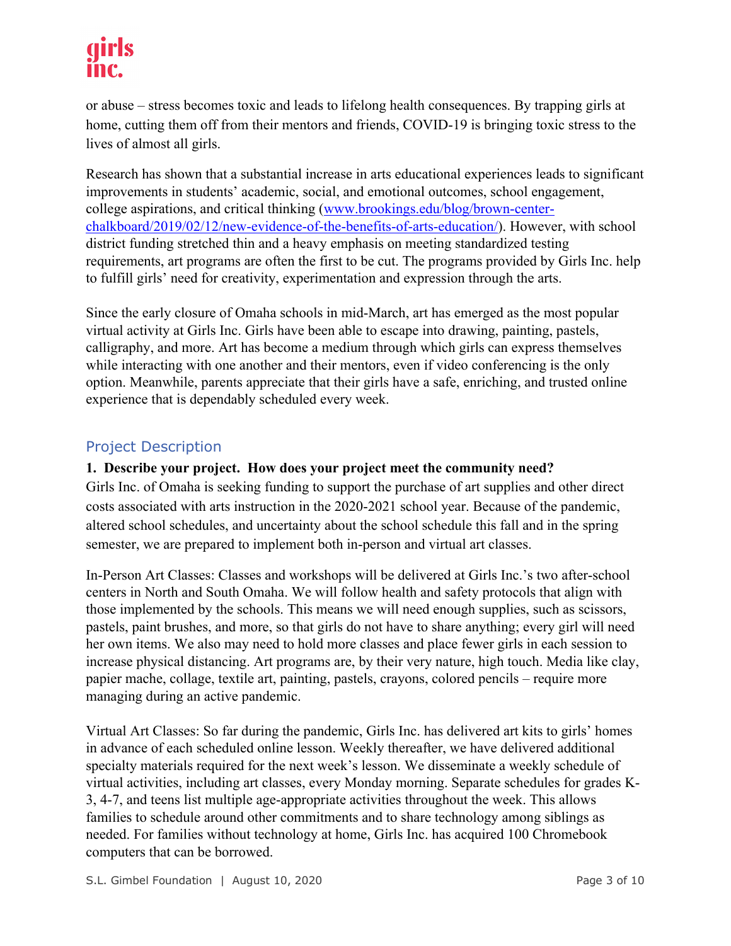# INC.

or abuse – stress becomes toxic and leads to lifelong health consequences. By trapping girls at home, cutting them off from their mentors and friends, COVID-19 is bringing toxic stress to the lives of almost all girls.

Research has shown that a substantial increase in arts educational experiences leads to significant improvements in students' academic, social, and emotional outcomes, school engagement, college aspirations, and critical thinking (www.brookings.edu/blog/brown-centerchalkboard/2019/02/12/new-evidence-of-the-benefits-of-arts-education/). However, with school district funding stretched thin and a heavy emphasis on meeting standardized testing requirements, art programs are often the first to be cut. The programs provided by Girls Inc. help to fulfill girls' need for creativity, experimentation and expression through the arts.

Since the early closure of Omaha schools in mid-March, art has emerged as the most popular virtual activity at Girls Inc. Girls have been able to escape into drawing, painting, pastels, calligraphy, and more. Art has become a medium through which girls can express themselves while interacting with one another and their mentors, even if video conferencing is the only option. Meanwhile, parents appreciate that their girls have a safe, enriching, and trusted online experience that is dependably scheduled every week.

# Project Description

# **1. Describe your project. How does your project meet the community need?**

Girls Inc. of Omaha is seeking funding to support the purchase of art supplies and other direct costs associated with arts instruction in the 2020-2021 school year. Because of the pandemic, altered school schedules, and uncertainty about the school schedule this fall and in the spring semester, we are prepared to implement both in-person and virtual art classes.

In-Person Art Classes: Classes and workshops will be delivered at Girls Inc.'s two after-school centers in North and South Omaha. We will follow health and safety protocols that align with those implemented by the schools. This means we will need enough supplies, such as scissors, pastels, paint brushes, and more, so that girls do not have to share anything; every girl will need her own items. We also may need to hold more classes and place fewer girls in each session to increase physical distancing. Art programs are, by their very nature, high touch. Media like clay, papier mache, collage, textile art, painting, pastels, crayons, colored pencils – require more managing during an active pandemic.

Virtual Art Classes: So far during the pandemic, Girls Inc. has delivered art kits to girls' homes in advance of each scheduled online lesson. Weekly thereafter, we have delivered additional specialty materials required for the next week's lesson. We disseminate a weekly schedule of virtual activities, including art classes, every Monday morning. Separate schedules for grades K-3, 4-7, and teens list multiple age-appropriate activities throughout the week. This allows families to schedule around other commitments and to share technology among siblings as needed. For families without technology at home, Girls Inc. has acquired 100 Chromebook computers that can be borrowed.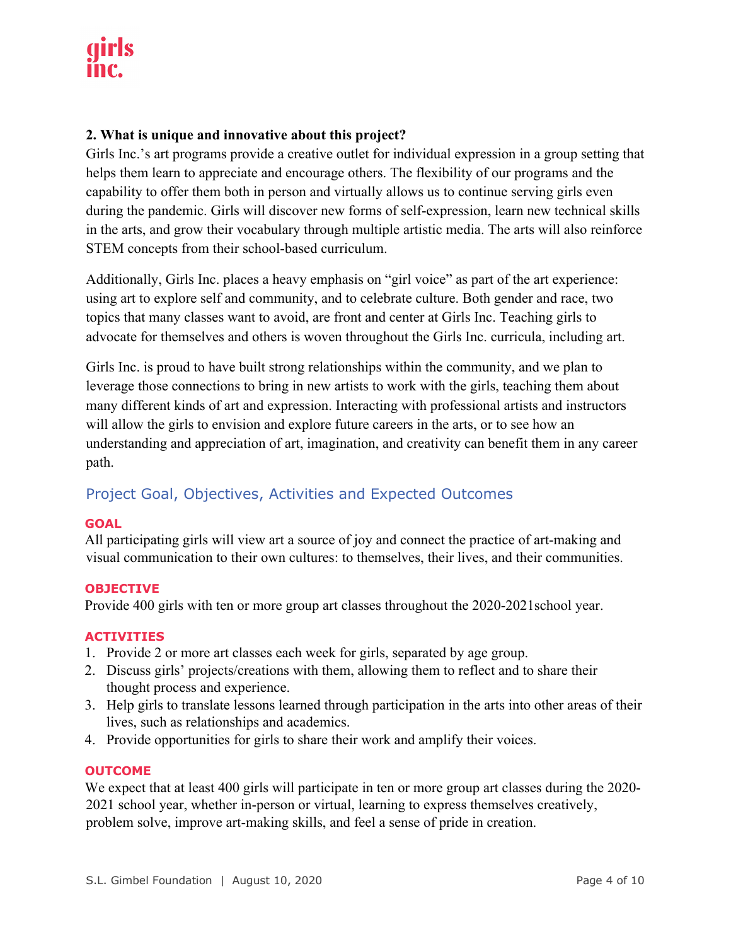# **2. What is unique and innovative about this project?**

Girls Inc.'s art programs provide a creative outlet for individual expression in a group setting that helps them learn to appreciate and encourage others. The flexibility of our programs and the capability to offer them both in person and virtually allows us to continue serving girls even during the pandemic. Girls will discover new forms of self-expression, learn new technical skills in the arts, and grow their vocabulary through multiple artistic media. The arts will also reinforce STEM concepts from their school-based curriculum.

Additionally, Girls Inc. places a heavy emphasis on "girl voice" as part of the art experience: using art to explore self and community, and to celebrate culture. Both gender and race, two topics that many classes want to avoid, are front and center at Girls Inc. Teaching girls to advocate for themselves and others is woven throughout the Girls Inc. curricula, including art.

Girls Inc. is proud to have built strong relationships within the community, and we plan to leverage those connections to bring in new artists to work with the girls, teaching them about many different kinds of art and expression. Interacting with professional artists and instructors will allow the girls to envision and explore future careers in the arts, or to see how an understanding and appreciation of art, imagination, and creativity can benefit them in any career path.

# Project Goal, Objectives, Activities and Expected Outcomes

#### **GOAL**

All participating girls will view art a source of joy and connect the practice of art-making and visual communication to their own cultures: to themselves, their lives, and their communities.

#### **OBJECTIVE**

Provide 400 girls with ten or more group art classes throughout the 2020-2021school year.

#### **ACTIVITIES**

- 1. Provide 2 or more art classes each week for girls, separated by age group.
- 2. Discuss girls' projects/creations with them, allowing them to reflect and to share their thought process and experience.
- 3. Help girls to translate lessons learned through participation in the arts into other areas of their lives, such as relationships and academics.
- 4. Provide opportunities for girls to share their work and amplify their voices.

#### **OUTCOME**

We expect that at least 400 girls will participate in ten or more group art classes during the 2020-2021 school year, whether in-person or virtual, learning to express themselves creatively, problem solve, improve art-making skills, and feel a sense of pride in creation.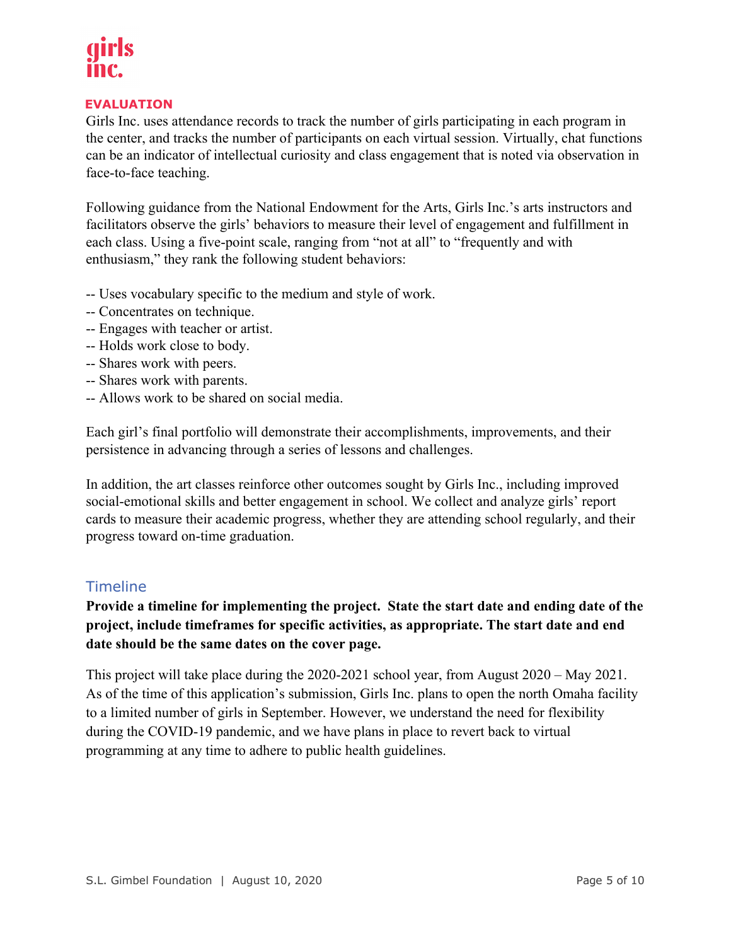#### **EVALUATION**

Girls Inc. uses attendance records to track the number of girls participating in each program in the center, and tracks the number of participants on each virtual session. Virtually, chat functions can be an indicator of intellectual curiosity and class engagement that is noted via observation in face-to-face teaching.

Following guidance from the National Endowment for the Arts, Girls Inc.'s arts instructors and facilitators observe the girls' behaviors to measure their level of engagement and fulfillment in each class. Using a five-point scale, ranging from "not at all" to "frequently and with enthusiasm," they rank the following student behaviors:

- -- Uses vocabulary specific to the medium and style of work.
- -- Concentrates on technique.
- -- Engages with teacher or artist.
- -- Holds work close to body.
- -- Shares work with peers.
- -- Shares work with parents.
- -- Allows work to be shared on social media.

Each girl's final portfolio will demonstrate their accomplishments, improvements, and their persistence in advancing through a series of lessons and challenges.

In addition, the art classes reinforce other outcomes sought by Girls Inc., including improved social-emotional skills and better engagement in school. We collect and analyze girls' report cards to measure their academic progress, whether they are attending school regularly, and their progress toward on-time graduation.

# Timeline

**Provide a timeline for implementing the project. State the start date and ending date of the project, include timeframes for specific activities, as appropriate. The start date and end date should be the same dates on the cover page.**

This project will take place during the 2020-2021 school year, from August 2020 – May 2021. As of the time of this application's submission, Girls Inc. plans to open the north Omaha facility to a limited number of girls in September. However, we understand the need for flexibility during the COVID-19 pandemic, and we have plans in place to revert back to virtual programming at any time to adhere to public health guidelines.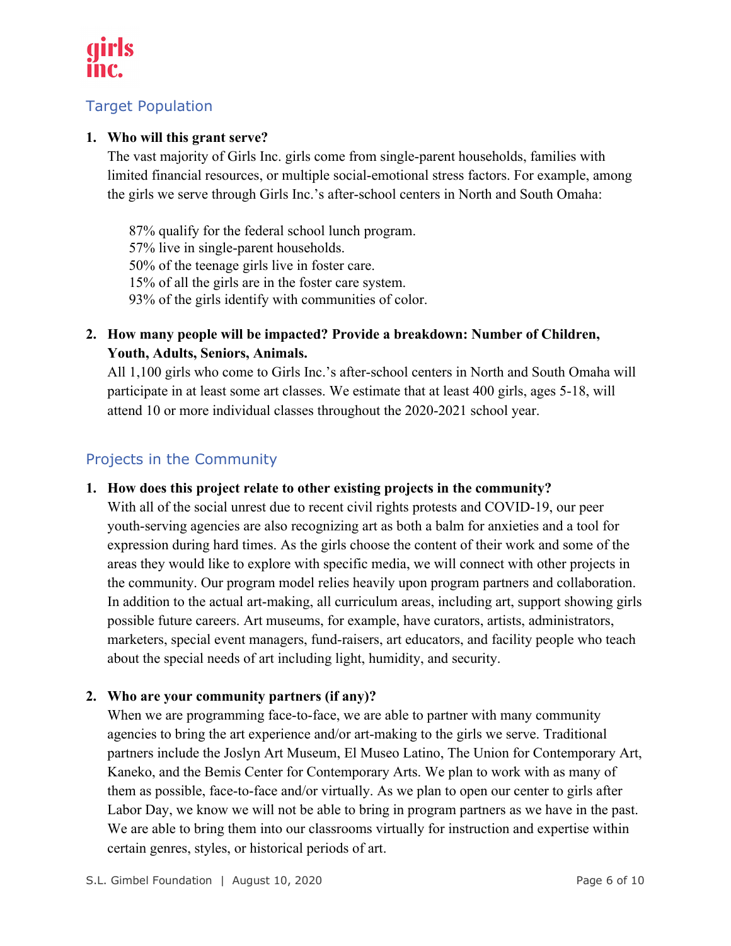

# Target Population

# **1. Who will this grant serve?**

The vast majority of Girls Inc. girls come from single-parent households, families with limited financial resources, or multiple social-emotional stress factors. For example, among the girls we serve through Girls Inc.'s after-school centers in North and South Omaha:

87% qualify for the federal school lunch program. 57% live in single-parent households. 50% of the teenage girls live in foster care. 15% of all the girls are in the foster care system. 93% of the girls identify with communities of color.

**2. How many people will be impacted? Provide a breakdown: Number of Children, Youth, Adults, Seniors, Animals.**

All 1,100 girls who come to Girls Inc.'s after-school centers in North and South Omaha will participate in at least some art classes. We estimate that at least 400 girls, ages 5-18, will attend 10 or more individual classes throughout the 2020-2021 school year.

# Projects in the Community

**1. How does this project relate to other existing projects in the community?** 

With all of the social unrest due to recent civil rights protests and COVID-19, our peer youth-serving agencies are also recognizing art as both a balm for anxieties and a tool for expression during hard times. As the girls choose the content of their work and some of the areas they would like to explore with specific media, we will connect with other projects in the community. Our program model relies heavily upon program partners and collaboration. In addition to the actual art-making, all curriculum areas, including art, support showing girls possible future careers. Art museums, for example, have curators, artists, administrators, marketers, special event managers, fund-raisers, art educators, and facility people who teach about the special needs of art including light, humidity, and security.

# **2. Who are your community partners (if any)?**

When we are programming face-to-face, we are able to partner with many community agencies to bring the art experience and/or art-making to the girls we serve. Traditional partners include the Joslyn Art Museum, El Museo Latino, The Union for Contemporary Art, Kaneko, and the Bemis Center for Contemporary Arts. We plan to work with as many of them as possible, face-to-face and/or virtually. As we plan to open our center to girls after Labor Day, we know we will not be able to bring in program partners as we have in the past. We are able to bring them into our classrooms virtually for instruction and expertise within certain genres, styles, or historical periods of art.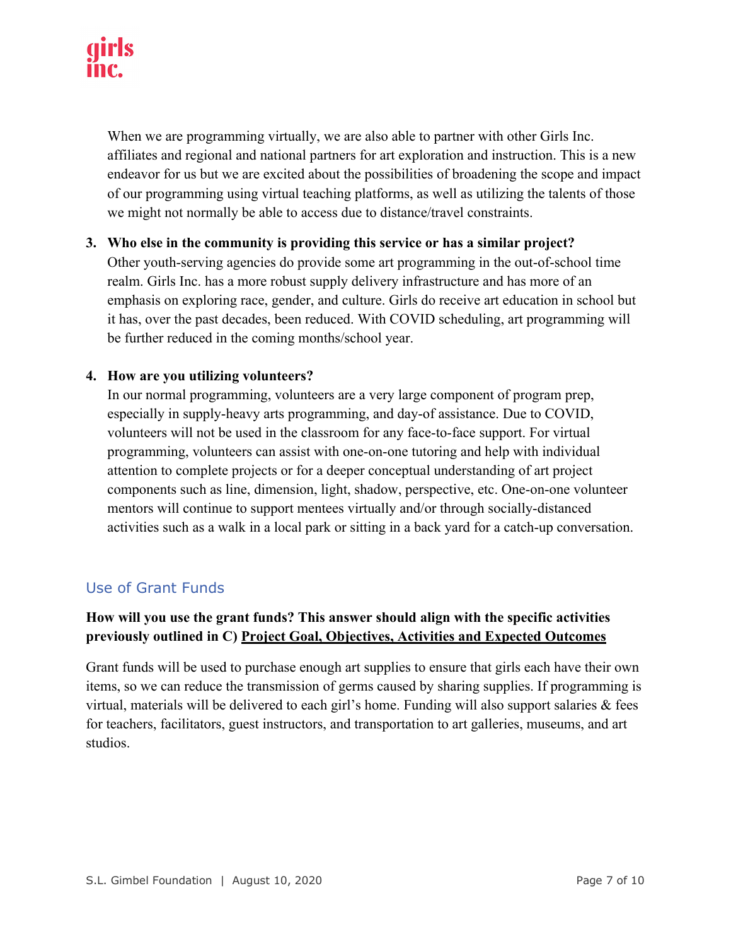When we are programming virtually, we are also able to partner with other Girls Inc. affiliates and regional and national partners for art exploration and instruction. This is a new endeavor for us but we are excited about the possibilities of broadening the scope and impact of our programming using virtual teaching platforms, as well as utilizing the talents of those we might not normally be able to access due to distance/travel constraints.

**3. Who else in the community is providing this service or has a similar project?** Other youth-serving agencies do provide some art programming in the out-of-school time realm. Girls Inc. has a more robust supply delivery infrastructure and has more of an emphasis on exploring race, gender, and culture. Girls do receive art education in school but it has, over the past decades, been reduced. With COVID scheduling, art programming will be further reduced in the coming months/school year.

#### **4. How are you utilizing volunteers?**

In our normal programming, volunteers are a very large component of program prep, especially in supply-heavy arts programming, and day-of assistance. Due to COVID, volunteers will not be used in the classroom for any face-to-face support. For virtual programming, volunteers can assist with one-on-one tutoring and help with individual attention to complete projects or for a deeper conceptual understanding of art project components such as line, dimension, light, shadow, perspective, etc. One-on-one volunteer mentors will continue to support mentees virtually and/or through socially-distanced activities such as a walk in a local park or sitting in a back yard for a catch-up conversation.

# Use of Grant Funds

# **How will you use the grant funds? This answer should align with the specific activities previously outlined in C) Project Goal, Objectives, Activities and Expected Outcomes**

Grant funds will be used to purchase enough art supplies to ensure that girls each have their own items, so we can reduce the transmission of germs caused by sharing supplies. If programming is virtual, materials will be delivered to each girl's home. Funding will also support salaries & fees for teachers, facilitators, guest instructors, and transportation to art galleries, museums, and art studios.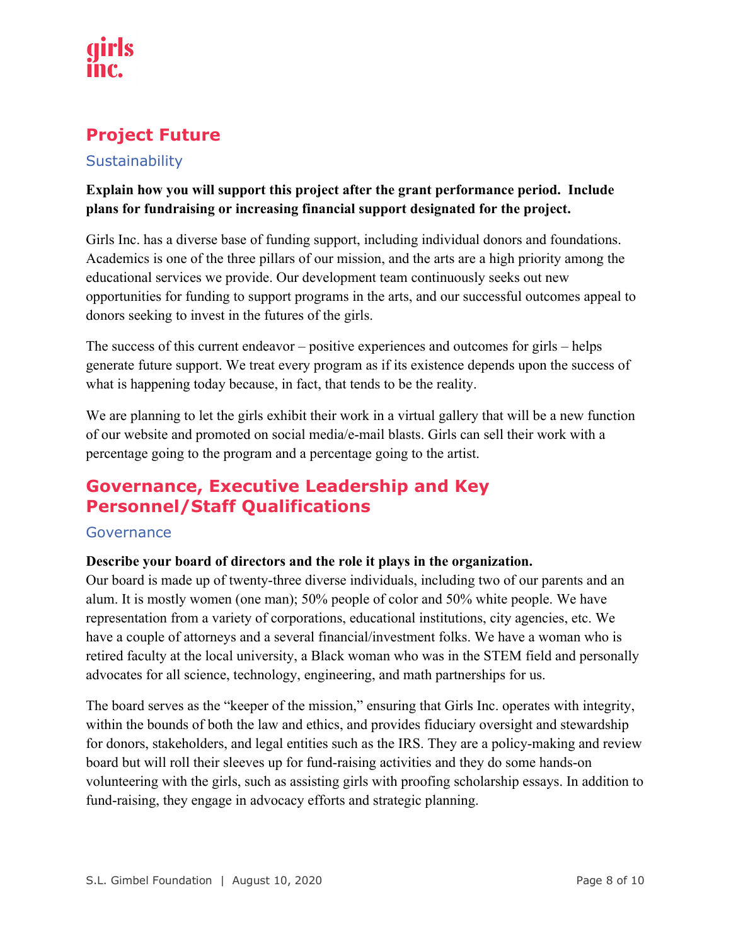# **Project Future**

# **Sustainability**

# **Explain how you will support this project after the grant performance period. Include plans for fundraising or increasing financial support designated for the project.**

Girls Inc. has a diverse base of funding support, including individual donors and foundations. Academics is one of the three pillars of our mission, and the arts are a high priority among the educational services we provide. Our development team continuously seeks out new opportunities for funding to support programs in the arts, and our successful outcomes appeal to donors seeking to invest in the futures of the girls.

The success of this current endeavor – positive experiences and outcomes for girls – helps generate future support. We treat every program as if its existence depends upon the success of what is happening today because, in fact, that tends to be the reality.

We are planning to let the girls exhibit their work in a virtual gallery that will be a new function of our website and promoted on social media/e-mail blasts. Girls can sell their work with a percentage going to the program and a percentage going to the artist.

# **Governance, Executive Leadership and Key Personnel/Staff Qualifications**

# Governance

# **Describe your board of directors and the role it plays in the organization.**

Our board is made up of twenty-three diverse individuals, including two of our parents and an alum. It is mostly women (one man); 50% people of color and 50% white people. We have representation from a variety of corporations, educational institutions, city agencies, etc. We have a couple of attorneys and a several financial/investment folks. We have a woman who is retired faculty at the local university, a Black woman who was in the STEM field and personally advocates for all science, technology, engineering, and math partnerships for us.

The board serves as the "keeper of the mission," ensuring that Girls Inc. operates with integrity, within the bounds of both the law and ethics, and provides fiduciary oversight and stewardship for donors, stakeholders, and legal entities such as the IRS. They are a policy-making and review board but will roll their sleeves up for fund-raising activities and they do some hands-on volunteering with the girls, such as assisting girls with proofing scholarship essays. In addition to fund-raising, they engage in advocacy efforts and strategic planning.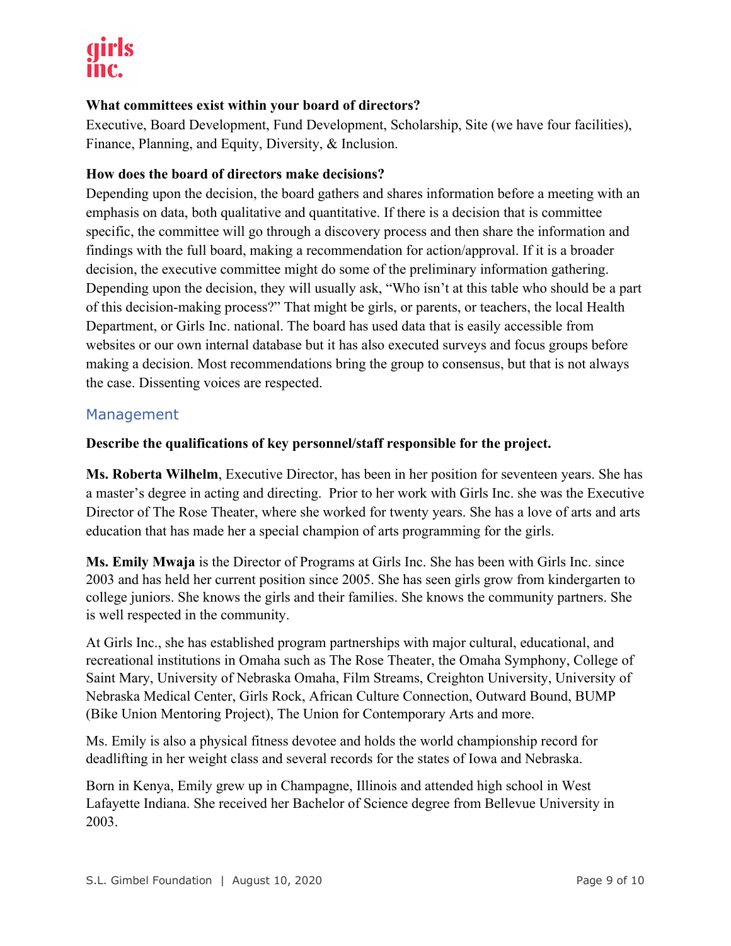# **What committees exist within your board of directors?**

Executive, Board Development, Fund Development, Scholarship, Site (we have four facilities), Finance, Planning, and Equity, Diversity, & Inclusion.

# **How does the board of directors make decisions?**

Depending upon the decision, the board gathers and shares information before a meeting with an emphasis on data, both qualitative and quantitative. If there is a decision that is committee specific, the committee will go through a discovery process and then share the information and findings with the full board, making a recommendation for action/approval. If it is a broader decision, the executive committee might do some of the preliminary information gathering. Depending upon the decision, they will usually ask, "Who isn't at this table who should be a part of this decision-making process?" That might be girls, or parents, or teachers, the local Health Department, or Girls Inc. national. The board has used data that is easily accessible from websites or our own internal database but it has also executed surveys and focus groups before making a decision. Most recommendations bring the group to consensus, but that is not always the case. Dissenting voices are respected.

# Management

# **Describe the qualifications of key personnel/staff responsible for the project.**

**Ms. Roberta Wilhelm**, Executive Director, has been in her position for seventeen years. She has a master's degree in acting and directing. Prior to her work with Girls Inc. she was the Executive Director of The Rose Theater, where she worked for twenty years. She has a love of arts and arts education that has made her a special champion of arts programming for the girls.

**Ms. Emily Mwaja** is the Director of Programs at Girls Inc. She has been with Girls Inc. since 2003 and has held her current position since 2005. She has seen girls grow from kindergarten to college juniors. She knows the girls and their families. She knows the community partners. She is well respected in the community.

At Girls Inc., she has established program partnerships with major cultural, educational, and recreational institutions in Omaha such as The Rose Theater, the Omaha Symphony, College of Saint Mary, University of Nebraska Omaha, Film Streams, Creighton University, University of Nebraska Medical Center, Girls Rock, African Culture Connection, Outward Bound, BUMP (Bike Union Mentoring Project), The Union for Contemporary Arts and more.

Ms. Emily is also a physical fitness devotee and holds the world championship record for deadlifting in her weight class and several records for the states of Iowa and Nebraska.

Born in Kenya, Emily grew up in Champagne, Illinois and attended high school in West Lafayette Indiana. She received her Bachelor of Science degree from Bellevue University in 2003.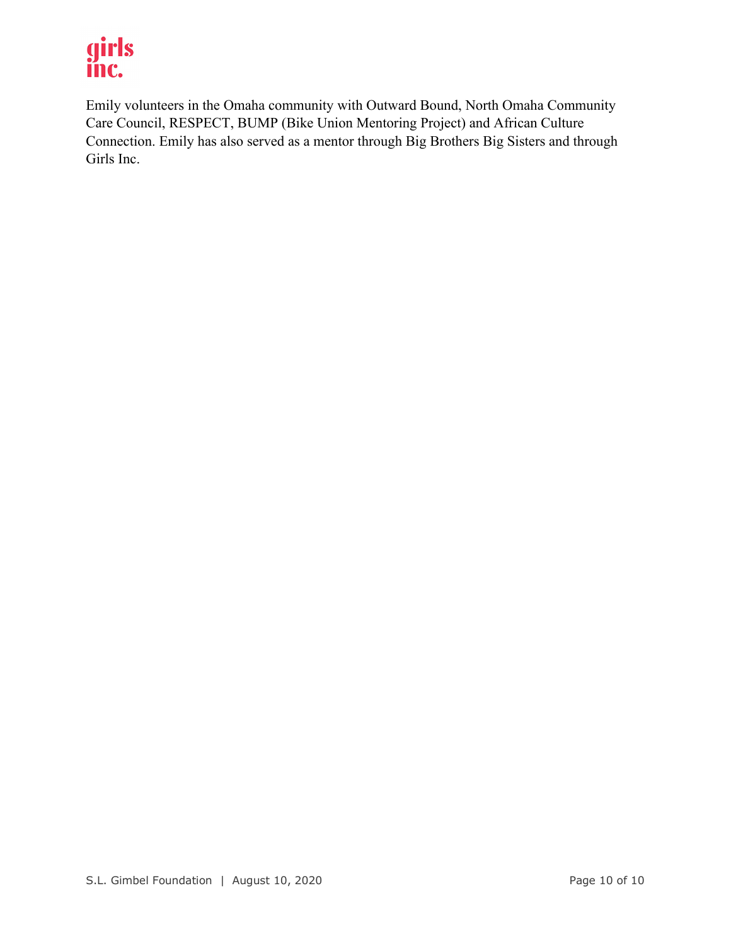# girls inc.

Emily volunteers in the Omaha community with Outward Bound, North Omaha Community Care Council, RESPECT, BUMP (Bike Union Mentoring Project) and African Culture Connection. Emily has also served as a mentor through Big Brothers Big Sisters and through Girls Inc.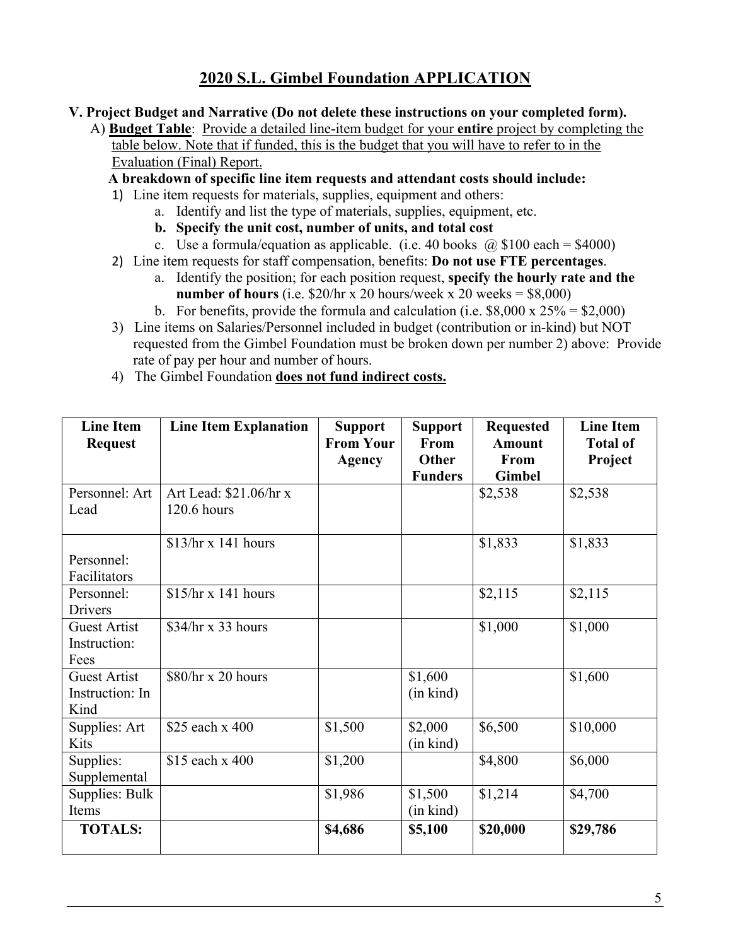- **V. Project Budget and Narrative (Do not delete these instructions on your completed form).**
	- A) **Budget Table**: Provide a detailed line-item budget for your **entire** project by completing the table below. Note that if funded, this is the budget that you will have to refer to in the Evaluation (Final) Report.

 **A breakdown of specific line item requests and attendant costs should include:**

- 1) Line item requests for materials, supplies, equipment and others:
	- a. Identify and list the type of materials, supplies, equipment, etc.
		- **b. Specify the unit cost, number of units, and total cost**
		- c. Use a formula/equation as applicable. (i.e. 40 books  $\omega$  \$100 each = \$4000)
- 2) Line item requests for staff compensation, benefits: **Do not use FTE percentages**.
	- a. Identify the position; for each position request, **specify the hourly rate and the number of hours** (i.e.  $$20/hr \times 20 hours/week \times 20 weeks = $8,000)$ )
	- b. For benefits, provide the formula and calculation (i.e.  $$8,000 \times 25\% = $2,000$ )
- 3) Line items on Salaries/Personnel included in budget (contribution or in-kind) but NOT requested from the Gimbel Foundation must be broken down per number 2) above: Provide rate of pay per hour and number of hours.
- 4) The Gimbel Foundation **does not fund indirect costs.**

| <b>Line Item</b>    | <b>Line Item Explanation</b> | <b>Support</b>   | <b>Support</b> | <b>Requested</b> | <b>Line Item</b> |
|---------------------|------------------------------|------------------|----------------|------------------|------------------|
| <b>Request</b>      |                              | <b>From Your</b> | From           | <b>Amount</b>    | <b>Total of</b>  |
|                     |                              | <b>Agency</b>    | <b>Other</b>   | From             | Project          |
|                     |                              |                  | <b>Funders</b> | <b>Gimbel</b>    |                  |
| Personnel: Art      | Art Lead: \$21.06/hr x       |                  |                | \$2,538          | \$2,538          |
| Lead                | 120.6 hours                  |                  |                |                  |                  |
|                     |                              |                  |                |                  |                  |
|                     | $$13/hr \times 141$ hours    |                  |                | \$1,833          | \$1,833          |
| Personnel:          |                              |                  |                |                  |                  |
| Facilitators        |                              |                  |                |                  |                  |
| Personnel:          | $$15/hr \times 141$ hours    |                  |                | \$2,115          | \$2,115          |
| Drivers             |                              |                  |                |                  |                  |
| <b>Guest Artist</b> | $$34/hr \times 33$ hours     |                  |                | \$1,000          | \$1,000          |
| Instruction:        |                              |                  |                |                  |                  |
| Fees                |                              |                  |                |                  |                  |
| <b>Guest Artist</b> | \$80/hr x 20 hours           |                  | \$1,600        |                  | \$1,600          |
| Instruction: In     |                              |                  | (in kind)      |                  |                  |
| Kind                |                              |                  |                |                  |                  |
| Supplies: Art       | \$25 each x 400              | \$1,500          | \$2,000        | \$6,500          | \$10,000         |
| Kits                |                              |                  | (in kind)      |                  |                  |
| Supplies:           | \$15 each x 400              | \$1,200          |                | \$4,800          | \$6,000          |
| Supplemental        |                              |                  |                |                  |                  |
| Supplies: Bulk      |                              | \$1,986          | \$1,500        | \$1,214          | \$4,700          |
| Items               |                              |                  | (in kind)      |                  |                  |
| <b>TOTALS:</b>      |                              | \$4,686          | \$5,100        | \$20,000         | \$29,786         |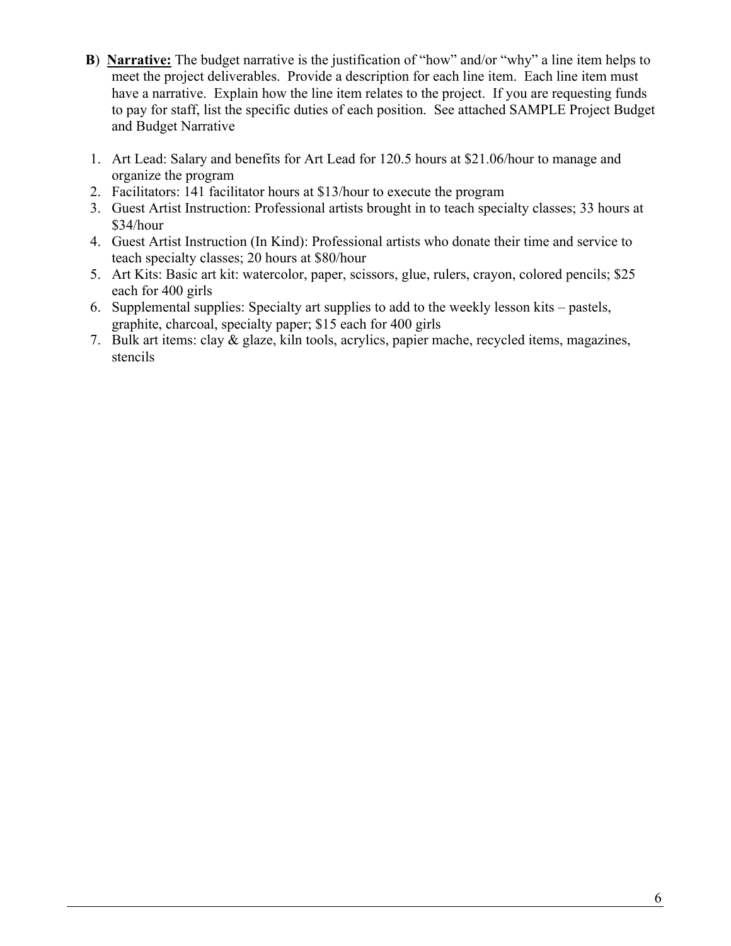- **B**) **Narrative:** The budget narrative is the justification of "how" and/or "why" a line item helps to meet the project deliverables. Provide a description for each line item. Each line item must have a narrative. Explain how the line item relates to the project. If you are requesting funds to pay for staff, list the specific duties of each position. See attached SAMPLE Project Budget and Budget Narrative
- 1. Art Lead: Salary and benefits for Art Lead for 120.5 hours at \$21.06/hour to manage and organize the program
- 2. Facilitators: 141 facilitator hours at \$13/hour to execute the program
- 3. Guest Artist Instruction: Professional artists brought in to teach specialty classes; 33 hours at \$34/hour
- 4. Guest Artist Instruction (In Kind): Professional artists who donate their time and service to teach specialty classes; 20 hours at \$80/hour
- 5. Art Kits: Basic art kit: watercolor, paper, scissors, glue, rulers, crayon, colored pencils; \$25 each for 400 girls
- 6. Supplemental supplies: Specialty art supplies to add to the weekly lesson kits pastels, graphite, charcoal, specialty paper; \$15 each for 400 girls
- 7. Bulk art items: clay & glaze, kiln tools, acrylics, papier mache, recycled items, magazines, stencils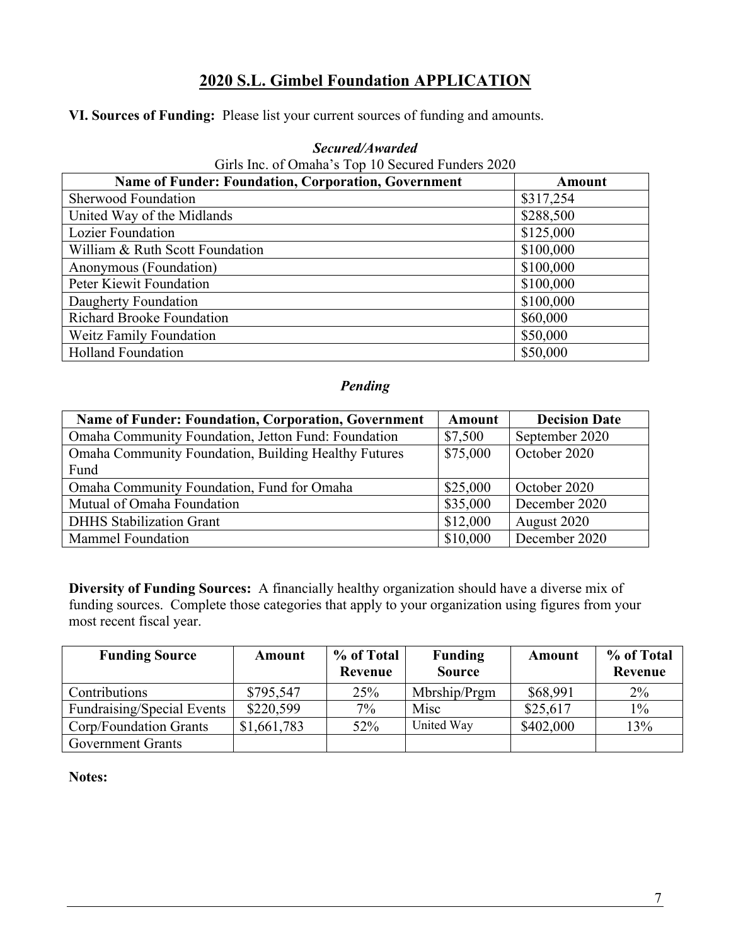**VI. Sources of Funding:** Please list your current sources of funding and amounts.

| Girls Inc. of Omaha's Top 10 Secured Funders 2020          |               |  |  |  |
|------------------------------------------------------------|---------------|--|--|--|
| <b>Name of Funder: Foundation, Corporation, Government</b> | <b>Amount</b> |  |  |  |
| <b>Sherwood Foundation</b>                                 | \$317,254     |  |  |  |
| United Way of the Midlands                                 | \$288,500     |  |  |  |
| <b>Lozier Foundation</b>                                   | \$125,000     |  |  |  |
| William & Ruth Scott Foundation                            | \$100,000     |  |  |  |
| Anonymous (Foundation)                                     | \$100,000     |  |  |  |
| Peter Kiewit Foundation                                    | \$100,000     |  |  |  |
| Daugherty Foundation                                       | \$100,000     |  |  |  |
| <b>Richard Brooke Foundation</b>                           | \$60,000      |  |  |  |
| <b>Weitz Family Foundation</b>                             | \$50,000      |  |  |  |
| <b>Holland Foundation</b>                                  | \$50,000      |  |  |  |

#### *Secured/Awarded*

# *Pending*

| Name of Funder: Foundation, Corporation, Government         | <b>Amount</b> | <b>Decision Date</b> |
|-------------------------------------------------------------|---------------|----------------------|
| Omaha Community Foundation, Jetton Fund: Foundation         | \$7,500       | September 2020       |
| <b>Omaha Community Foundation, Building Healthy Futures</b> | \$75,000      | October 2020         |
| Fund                                                        |               |                      |
| Omaha Community Foundation, Fund for Omaha                  | \$25,000      | October 2020         |
| Mutual of Omaha Foundation                                  | \$35,000      | December 2020        |
| <b>DHHS</b> Stabilization Grant                             | \$12,000      | August 2020          |
| <b>Mammel Foundation</b>                                    | \$10,000      | December 2020        |

**Diversity of Funding Sources:** A financially healthy organization should have a diverse mix of funding sources. Complete those categories that apply to your organization using figures from your most recent fiscal year.

| <b>Funding Source</b>             | Amount      | % of Total | <b>Funding</b> | Amount    | % of Total |
|-----------------------------------|-------------|------------|----------------|-----------|------------|
|                                   |             | Revenue    | <b>Source</b>  |           | Revenue    |
| Contributions                     | \$795,547   | 25%        | Mbrship/Prgm   | \$68,991  | $2\%$      |
| <b>Fundraising/Special Events</b> | \$220,599   | $7\%$      | Misc           | \$25,617  | $1\%$      |
| Corp/Foundation Grants            | \$1,661,783 | 52%        | United Way     | \$402,000 | 13%        |
| <b>Government Grants</b>          |             |            |                |           |            |

**Notes:**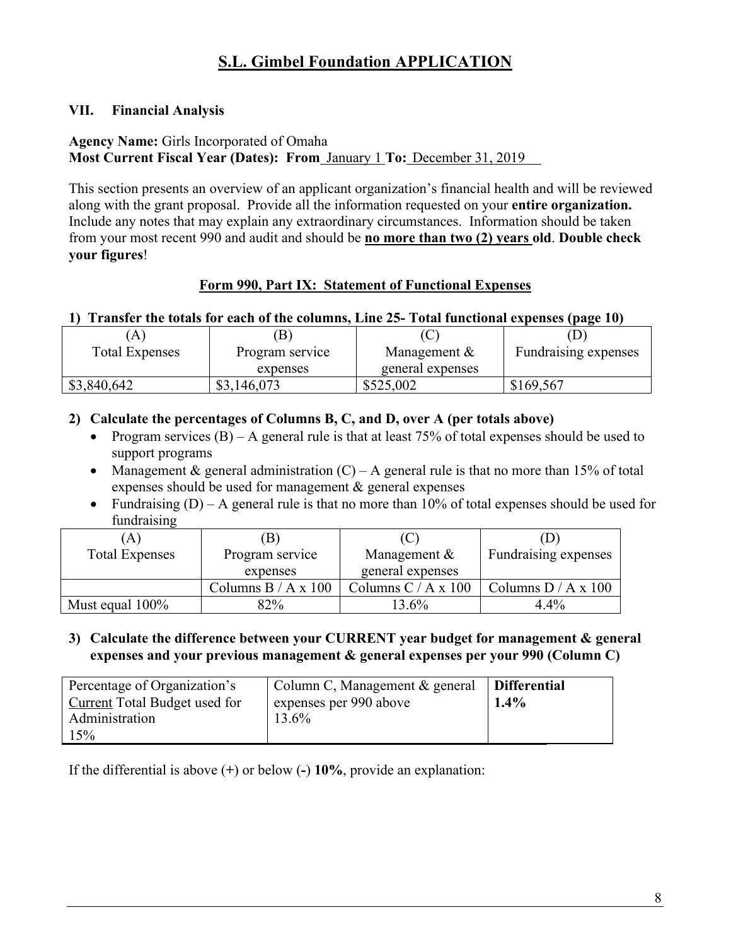# **VII. Financial Analysis**

# **Agency Name:** Girls Incorporated of Omaha

**Most Current Fiscal Year (Dates): From** January 1 **To:** December 31, 2019

This section presents an overview of an applicant organization's financial health and will be reviewed along with the grant proposal. Provide all the information requested on your **entire organization.**  Include any notes that may explain any extraordinary circumstances. Information should be taken from your most recent 990 and audit and should be **no more than two (2) years old**. **Double check your figures**!

# **Form 990, Part IX: Statement of Functional Expenses**

# **1) Transfer the totals for each of the columns, Line 25- Total functional expenses (page 10)**

|                       |                 | $\cdots$         |                             |
|-----------------------|-----------------|------------------|-----------------------------|
| A                     | $\mathbf{B}$    |                  |                             |
| <b>Total Expenses</b> | Program service | Management &     | <b>Fundraising expenses</b> |
|                       | expenses        | general expenses |                             |
| \$3,840,642           | \$3,146,073     | \$525,002        | \$169,567                   |

# **2) Calculate the percentages of Columns B, C, and D, over A (per totals above)**

- Program services  $(B)$  A general rule is that at least 75% of total expenses should be used to support programs
- Management & general administration  $(C) A$  general rule is that no more than 15% of total expenses should be used for management & general expenses
- Fundraising  $(D) A$  general rule is that no more than 10% of total expenses should be used for fundraising

| A                     |                       | $\mathbf{C}$        |                       |
|-----------------------|-----------------------|---------------------|-----------------------|
| <b>Total Expenses</b> | Program service       | Management &        | Fundraising expenses  |
|                       | expenses              | general expenses    |                       |
|                       | Columns $B / A x 100$ | Columns C / A x 100 | Columns $D / A x 100$ |
| Must equal $100\%$    | 82%                   | $3.6\%$             | 4.4%                  |

#### **3) Calculate the difference between your CURRENT year budget for management & general expenses and your previous management & general expenses per your 990 (Column C)**

| Percentage of Organization's  | Column C, Management & general | <b>Differential</b> |
|-------------------------------|--------------------------------|---------------------|
| Current Total Budget used for | expenses per 990 above         | $1.4\%$             |
| Administration                | 13.6%                          |                     |
| 15%                           |                                |                     |

If the differential is above (**+**) or below (**-**) **10%**, provide an explanation: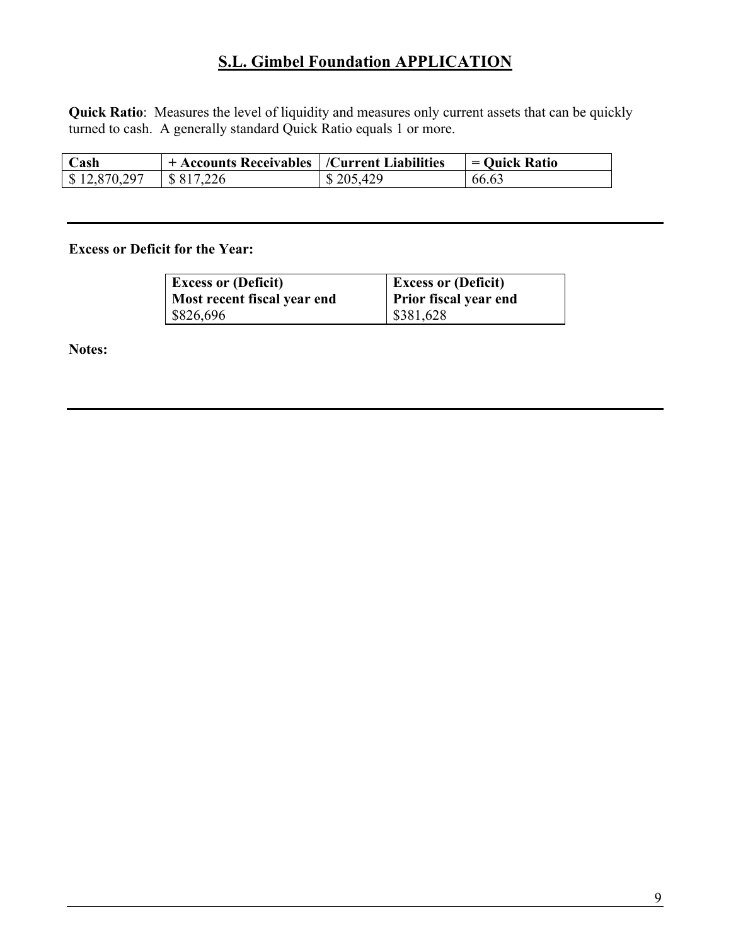**Quick Ratio**: Measures the level of liquidity and measures only current assets that can be quickly turned to cash. A generally standard Quick Ratio equals 1 or more.

| Cash         | $+$ Accounts Receivables   /Current Liabilities |           | = Quick Ratio |
|--------------|-------------------------------------------------|-----------|---------------|
| \$12,870,297 | $\frac{1}{8}$ \$17,226                          | \$205,429 | 66.63         |

#### **Excess or Deficit for the Year:**

| <b>Excess or (Deficit)</b>  | <b>Excess or (Deficit)</b> |
|-----------------------------|----------------------------|
| Most recent fiscal year end | Prior fiscal year end      |
| \$826,696                   | \$381,628                  |

**Notes:**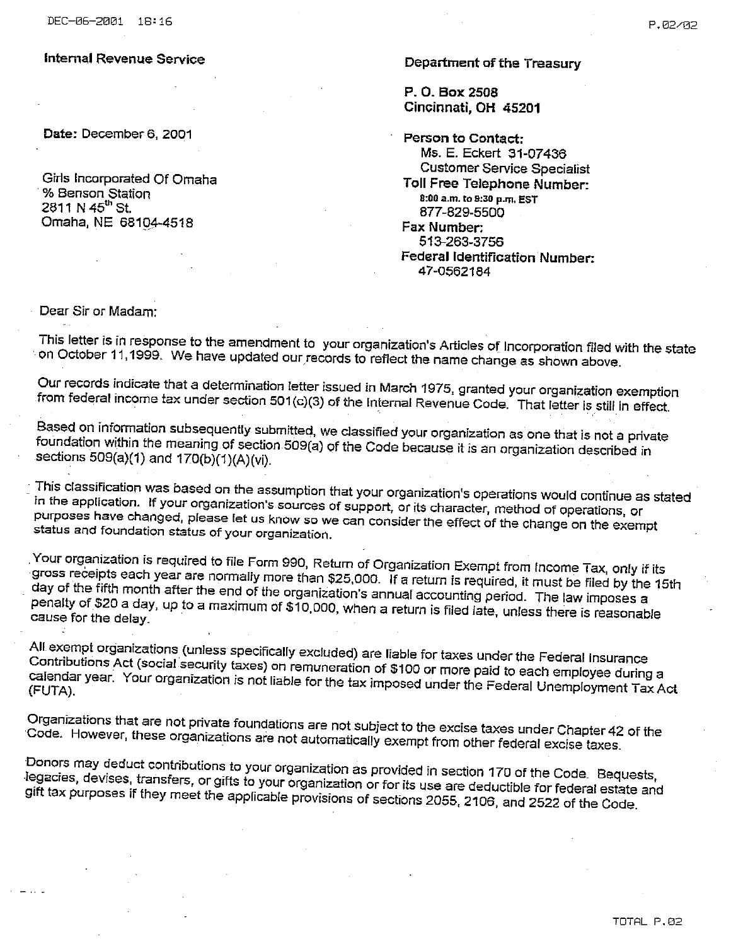Date: December 6, 2001

Girls Incorporated Of Omaha % Benson Station 2811 N 45<sup>th</sup> St. Omaha, NE 68104-4518

Department of the Treasury

P. O. Box 2508 Cincinnati, OH 45201

Person to Contact: Ms. E. Eckert 31-07436 **Customer Service Specialist** Toll Free Telephone Number: 8:00 a.m. to 9:30 p.m. EST 877-829-5500 Fax Number: 513-263-3756 **Federal Identification Number:** 47-0562184

Dear Sir or Madam:

This letter is in response to the amendment to your organization's Articles of Incorporation filed with the state on October 11,1999. We have updated our records to reflect the name change as shown above.

Our records indicate that a determination letter issued in March 1975, granted your organization exemption from federal income tax under section 501(c)(3) of the Internal Revenue Code. That letter is still in effect,

Based on information subsequently submitted, we classified your organization as one that is not a private foundation within the meaning of section 509(a) of the Code because it is an organization described in sections 509(a)(1) and 170(b)(1)(A)(vi).

This classification was based on the assumption that your organization's operations would continue as stated in the application. If your organization's sources of support, or its character, method of operations, or purposes have changed, please let us know so we can consider the effect of the change on the exempt status and foundation status of your organization.

Your organization is required to file Form 990, Return of Organization Exempt from Income Tax, only if its gross receipts each year are normally more than \$25,000. If a return is required, it must be filed by the 15th day of the fifth month after the end of the organization's annual accounting period. The law imposes a penalty of \$20 a day, up to a maximum of \$10,000, when a return is filed late, unless there is reasonable cause for the delay

All exempt organizations (unless specifically excluded) are liable for taxes under the Federal Insurance Contributions Act (social security taxes) on remuneration of \$100 or more paid to each employee during a calendar year. Your organization is not liable for the tax imposed under the Federal Unemployment Tax Act

Organizations that are not private foundations are not subject to the excise taxes under Chapter 42 of the Code. However, these organizations are not automatically exempt from other federal excise taxes.

Donors may deduct contributions to your organization as provided in section 170 of the Code. Bequests, legacies, devises, transfers, or gifts to your organization or for its use are deductible for federal estate and gift tax purposes if they meet the applicable provisions of sections 2055, 2106, and 2522 of the Code.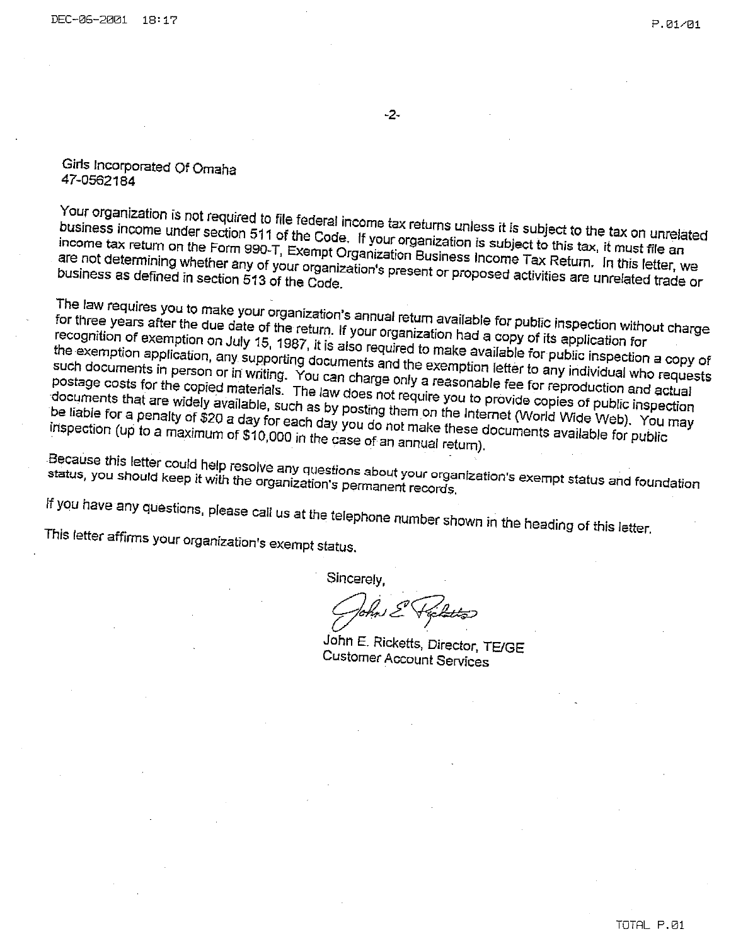$-2-$ 

#### Girls Incorporated Of Omaha 47-0562184

Your organization is not required to file federal income tax returns unless it is subject to the tax on unrelated business income under section 511 of the Code. If your organization is subject to this tax, it must file an income tax return on the Form 990-T, Exempt Organization Business Income Tax Return. In this letter, we are not determining whether any of your organization's present or proposed activities are unrelated trade or

The law requires you to make your organization's annual return available for public inspection without charge for three years after the due date of the return. If your organization had a copy of its application for recognition of exemption on July 15, 1987, it is also required to make available for public inspection a copy of the exemption application, any supporting documents and the exemption letter to any individual who requests such documents in person or in writing. You can charge only a reasonable fee for reproduction and actual postage costs for the copied materials. The law does not require you to provide copies of public inspection documents that are widely available, such as by posting them on the Internet (World Wide Web). You may be liable for a penalty of \$20 a day for each day you do not make these documents available for public inspection (up to a maximum of \$10,000 in the case of an annual return).

Because this letter could help resolve any questions about your organization's exempt status and foundation status, you should keep it with the organization's permanent records.

If you have any questions, please call us at the telephone number shown in the heading of this letter.

This letter affirms your organization's exempt status.

Sincerely,

John E. Ricketts, Director, TE/GE **Customer Account Services**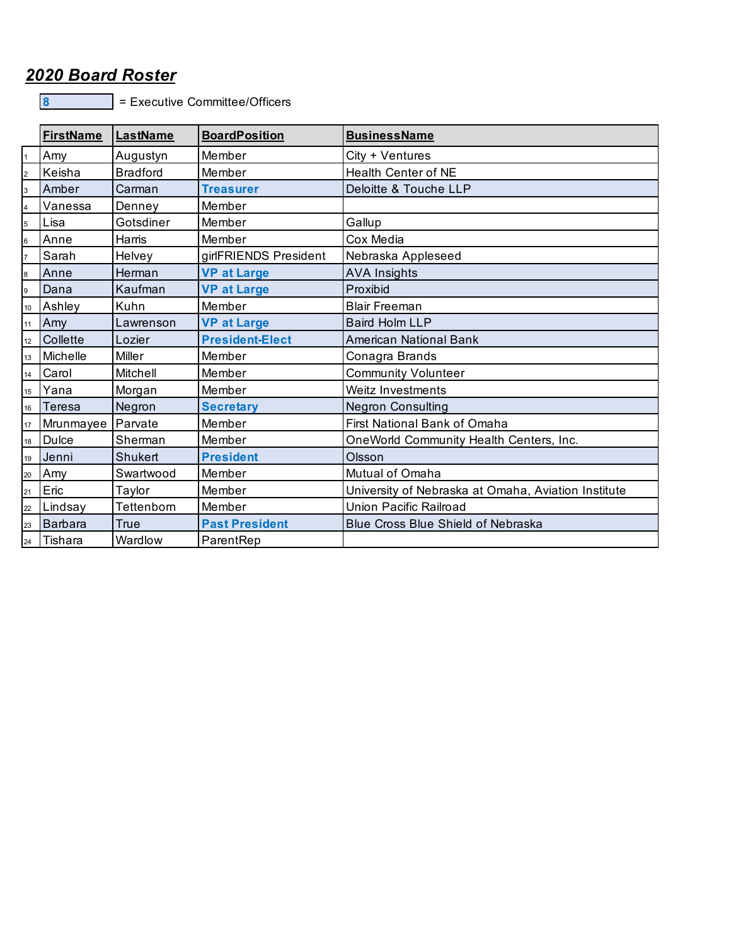# *2020 Board Roster*

8 = Executive Committee/Officers

|                | <b>FirstName</b><br>LastName |                 | <b>BoardPosition</b>   | <b>BusinessName</b>                                 |  |
|----------------|------------------------------|-----------------|------------------------|-----------------------------------------------------|--|
|                | Amy                          | Augustyn        | Member                 | City + Ventures                                     |  |
| $\overline{2}$ | Keisha                       | <b>Bradford</b> | Member                 | <b>Health Center of NE</b>                          |  |
| 3              | Amber                        | Carman          | <b>Treasurer</b>       | Deloitte & Touche LLP                               |  |
| 4              | Vanessa                      | Denney          | Member                 |                                                     |  |
| 5              | Lisa                         | Gotsdiner       | Member                 | Gallup                                              |  |
| 6              | Anne                         | Harris          | Member                 | Cox Media                                           |  |
|                | Sarah                        | Helvey          | girlFRIENDS President  | Nebraska Appleseed                                  |  |
| 8              | Anne                         | Herman          | <b>VP at Large</b>     | <b>AVA Insights</b>                                 |  |
| 9              | Dana                         | Kaufman         | <b>VP at Large</b>     | Proxibid                                            |  |
| 10             | Ashley                       | Kuhn            | Member                 | <b>Blair Freeman</b>                                |  |
| 11             | Amy                          | Lawrenson       | <b>VP at Large</b>     | <b>Baird Holm LLP</b>                               |  |
| 12             | <b>Collette</b>              | Lozier          | <b>President-Elect</b> | American National Bank                              |  |
| 13             | Michelle                     | Miller          | Member                 | Conagra Brands                                      |  |
| 14             | Carol                        | Mitchell        | Member                 | <b>Community Volunteer</b>                          |  |
| 15             | Yana                         | Morgan          | Member                 | Weitz Investments                                   |  |
| 16             | Teresa                       | Negron          | <b>Secretary</b>       | <b>Negron Consulting</b>                            |  |
| 17             | Mrunmayee                    | Parvate         | Member                 | First National Bank of Omaha                        |  |
| 18             | <b>Dulce</b>                 | Sherman         | Member                 | OneWorld Community Health Centers, Inc.             |  |
| 19             | Jenni                        | Shukert         | <b>President</b>       | Olsson                                              |  |
| 20             | Amy                          | Swartwood       | Member                 | Mutual of Omaha                                     |  |
| 21             | Eric                         | Taylor          | Member                 | University of Nebraska at Omaha, Aviation Institute |  |
| 22             | Lindsay                      | Tettenborn      | Member                 | Union Pacific Railroad                              |  |
| 23             | Barbara                      | True            | <b>Past President</b>  | <b>Blue Cross Blue Shield of Nebraska</b>           |  |
|                | 24 Tishara                   | Wardlow         | ParentRep              |                                                     |  |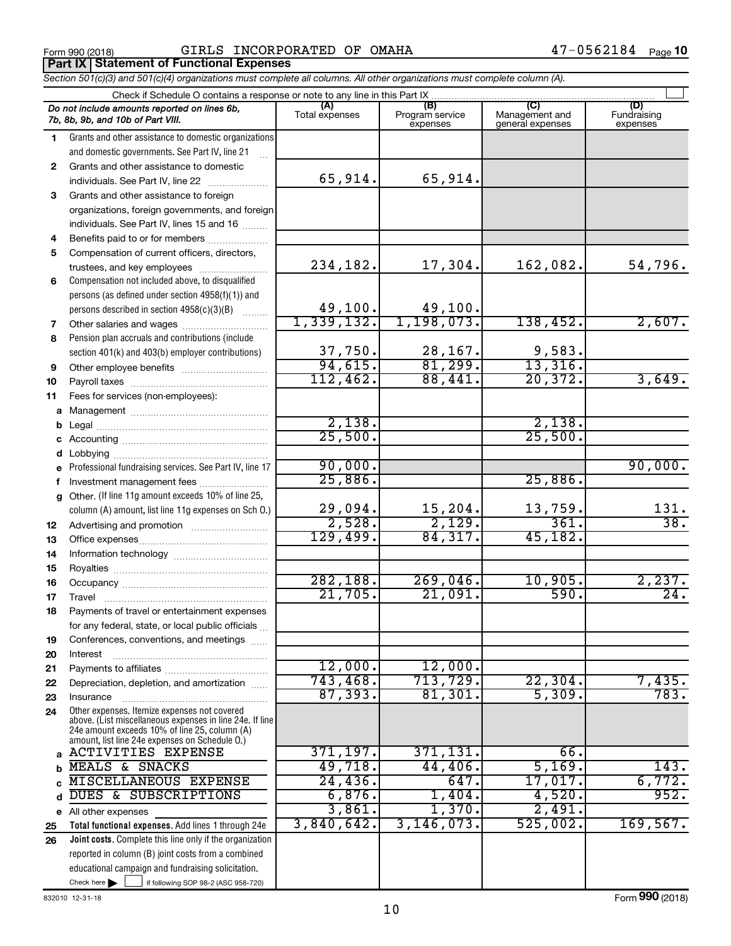Form 990 (2018) Page GIRLS INCORPORATED OF OMAHA 47-0562184 **Part IX Statement of Functional Expenses**

|              | Section 501(c)(3) and 501(c)(4) organizations must complete all columns. All other organizations must complete column (A).                                                                                  |                             |                                    |                                                      |                                |
|--------------|-------------------------------------------------------------------------------------------------------------------------------------------------------------------------------------------------------------|-----------------------------|------------------------------------|------------------------------------------------------|--------------------------------|
|              | Check if Schedule O contains a response or note to any line in this Part IX.                                                                                                                                |                             |                                    |                                                      |                                |
|              | Do not include amounts reported on lines 6b,<br>7b, 8b, 9b, and 10b of Part VIII.                                                                                                                           | (A)<br>Total expenses       | (B)<br>Program service<br>expenses | $\overline{C}$<br>Management and<br>general expenses | (D)<br>Fundraising<br>expenses |
| 1.           | Grants and other assistance to domestic organizations                                                                                                                                                       |                             |                                    |                                                      |                                |
|              | and domestic governments. See Part IV, line 21                                                                                                                                                              |                             |                                    |                                                      |                                |
| $\mathbf{2}$ | Grants and other assistance to domestic                                                                                                                                                                     |                             |                                    |                                                      |                                |
|              | individuals. See Part IV, line 22                                                                                                                                                                           | 65,914.                     | 65,914.                            |                                                      |                                |
| 3            | Grants and other assistance to foreign                                                                                                                                                                      |                             |                                    |                                                      |                                |
|              | organizations, foreign governments, and foreign                                                                                                                                                             |                             |                                    |                                                      |                                |
|              | individuals. See Part IV, lines 15 and 16                                                                                                                                                                   |                             |                                    |                                                      |                                |
| 4            | Benefits paid to or for members                                                                                                                                                                             |                             |                                    |                                                      |                                |
| 5            | Compensation of current officers, directors,                                                                                                                                                                |                             |                                    |                                                      |                                |
|              | trustees, and key employees                                                                                                                                                                                 | 234,182.                    | 17,304.                            | 162,082.                                             | 54,796.                        |
| 6            | Compensation not included above, to disqualified                                                                                                                                                            |                             |                                    |                                                      |                                |
|              | persons (as defined under section 4958(f)(1)) and                                                                                                                                                           |                             |                                    |                                                      |                                |
|              | persons described in section 4958(c)(3)(B)                                                                                                                                                                  | $\frac{49,100}{1,339,132.}$ | $\frac{49,100}{1,198,073.}$        |                                                      |                                |
| 7            | Other salaries and wages                                                                                                                                                                                    |                             |                                    | 138,452.                                             | 2,607.                         |
| 8            | Pension plan accruals and contributions (include                                                                                                                                                            |                             |                                    |                                                      |                                |
|              | section 401(k) and 403(b) employer contributions)                                                                                                                                                           | $\frac{37,750}{94,615}$     | $\frac{28,167}{81,299}$            | $\frac{9,583}{13,316}$                               |                                |
| 9            |                                                                                                                                                                                                             |                             |                                    |                                                      |                                |
| 10           |                                                                                                                                                                                                             | 112,462.                    | 88,441.                            | 20,372.                                              | 3,649.                         |
| 11           | Fees for services (non-employees):                                                                                                                                                                          |                             |                                    |                                                      |                                |
|              |                                                                                                                                                                                                             | 2,138.                      |                                    |                                                      |                                |
|              |                                                                                                                                                                                                             | 25,500.                     |                                    | 2,138.<br>25,500.                                    |                                |
| c            |                                                                                                                                                                                                             |                             |                                    |                                                      |                                |
|              |                                                                                                                                                                                                             | 90,000.                     |                                    |                                                      | 90,000.                        |
| е            | Professional fundraising services. See Part IV, line 17                                                                                                                                                     | 25,886.                     |                                    | 25,886.                                              |                                |
|              | Investment management fees<br>Other. (If line 11g amount exceeds 10% of line 25,                                                                                                                            |                             |                                    |                                                      |                                |
| g            | column (A) amount, list line 11g expenses on Sch O.)                                                                                                                                                        | 29,094.                     | 15,204.                            | 13,759.                                              | 131.                           |
| 12           |                                                                                                                                                                                                             | 2,528.                      | 2,129.                             | 361.                                                 | $\overline{38}$ .              |
| 13           |                                                                                                                                                                                                             | 129,499.                    | 84, 317.                           | 45,182.                                              |                                |
| 14           |                                                                                                                                                                                                             |                             |                                    |                                                      |                                |
| 15           |                                                                                                                                                                                                             |                             |                                    |                                                      |                                |
| 16           |                                                                                                                                                                                                             | 282, 188.                   | 269,046.                           | 10,905.                                              | 2,237.                         |
| 17           |                                                                                                                                                                                                             | 21,705.                     | 21,091.                            | 590.                                                 | 24.                            |
| 18           | Payments of travel or entertainment expenses                                                                                                                                                                |                             |                                    |                                                      |                                |
|              | for any federal, state, or local public officials                                                                                                                                                           |                             |                                    |                                                      |                                |
| 19           | Conferences, conventions, and meetings                                                                                                                                                                      |                             |                                    |                                                      |                                |
| 20           | Interest                                                                                                                                                                                                    |                             |                                    |                                                      |                                |
| 21           |                                                                                                                                                                                                             | 12,000.                     | 12,000.                            |                                                      |                                |
| 22           | Depreciation, depletion, and amortization                                                                                                                                                                   | 743,468.                    | 713,729.                           | 22,304.                                              | 7,435.                         |
| 23           | Insurance                                                                                                                                                                                                   | 87, 393.                    | 81,301.                            | 5,309.                                               | 783.                           |
| 24           | Other expenses. Itemize expenses not covered<br>above. (List miscellaneous expenses in line 24e. If line<br>24e amount exceeds 10% of line 25, column (A)<br>amount, list line 24e expenses on Schedule O.) |                             |                                    |                                                      |                                |
| a            | <b>ACTIVITIES EXPENSE</b>                                                                                                                                                                                   | 371,197.                    | 371,131.                           | 66.                                                  |                                |
|              | MEALS & SNACKS                                                                                                                                                                                              | 49,718.                     | 44,406.                            | 5,169.                                               | 143.                           |
|              | MISCELLANEOUS EXPENSE                                                                                                                                                                                       | 24,436.                     | 647.                               | 17,017.                                              | 6,772.                         |
|              | DUES & SUBSCRIPTIONS                                                                                                                                                                                        | 6,876.                      | $1,404$ .                          | 4,520.                                               | 952.                           |
| е            | All other expenses                                                                                                                                                                                          | 3,861.                      | 1,370.                             | 2,491.                                               |                                |
| 25           | Total functional expenses. Add lines 1 through 24e                                                                                                                                                          | 3,840,642.                  | 3, 146, 073.                       | 525,002.                                             | 169, 567.                      |
| 26           | Joint costs. Complete this line only if the organization                                                                                                                                                    |                             |                                    |                                                      |                                |
|              | reported in column (B) joint costs from a combined                                                                                                                                                          |                             |                                    |                                                      |                                |
|              | educational campaign and fundraising solicitation.                                                                                                                                                          |                             |                                    |                                                      |                                |
|              | Check here $\blacktriangleright$<br>if following SOP 98-2 (ASC 958-720)                                                                                                                                     |                             |                                    |                                                      |                                |